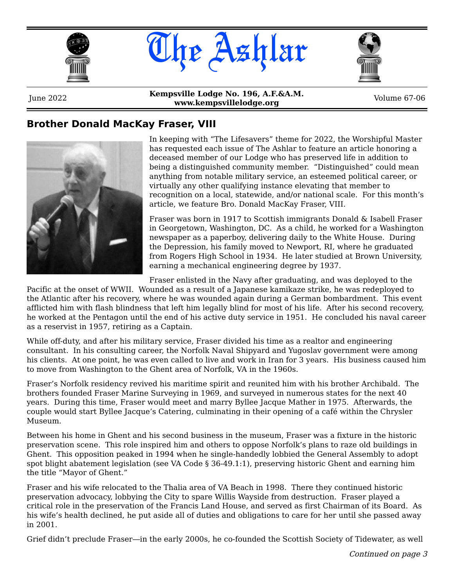





June 2022 **Kempsville Lodge No. 196, A.F.&A.M. www.kempsvillelodge.org**<br>**www.kempsvillelodge.org** Volume 67-06

### **Brother Donald MacKay Fraser, VIII**



In keeping with "The Lifesavers" theme for 2022, the Worshipful Master has requested each issue of The Ashlar to feature an article honoring a deceased member of our Lodge who has preserved life in addition to being a distinguished community member. "Distinguished" could mean anything from notable military service, an esteemed political career, or virtually any other qualifying instance elevating that member to recognition on a local, statewide, and/or national scale. For this month's article, we feature Bro. Donald MacKay Fraser, VIII.

Fraser was born in 1917 to Scottish immigrants Donald & Isabell Fraser in Georgetown, Washington, DC. As a child, he worked for a Washington newspaper as a paperboy, delivering daily to the White House. During the Depression, his family moved to Newport, RI, where he graduated from Rogers High School in 1934. He later studied at Brown University, earning a mechanical engineering degree by 1937.

Fraser enlisted in the Navy after graduating, and was deployed to the

Pacific at the onset of WWII. Wounded as a result of a Japanese kamikaze strike, he was redeployed to the Atlantic after his recovery, where he was wounded again during a German bombardment. This event afflicted him with flash blindness that left him legally blind for most of his life. After his second recovery, he worked at the Pentagon until the end of his active duty service in 1951. He concluded his naval career as a reservist in 1957, retiring as a Captain.

While off-duty, and after his military service, Fraser divided his time as a realtor and engineering consultant. In his consulting career, the Norfolk Naval Shipyard and Yugoslav government were among his clients. At one point, he was even called to live and work in Iran for 3 years. His business caused him to move from Washington to the Ghent area of Norfolk, VA in the 1960s.

Fraser's Norfolk residency revived his maritime spirit and reunited him with his brother Archibald. The brothers founded Fraser Marine Surveying in 1969, and surveyed in numerous states for the next 40 years. During this time, Fraser would meet and marry Byllee Jacque Mather in 1975. Afterwards, the couple would start Byllee Jacque's Catering, culminating in their opening of a café within the Chrysler Museum.

Between his home in Ghent and his second business in the museum, Fraser was a fixture in the historic preservation scene. This role inspired him and others to oppose Norfolk's plans to raze old buildings in Ghent. This opposition peaked in 1994 when he single-handedly lobbied the General Assembly to adopt spot blight abatement legislation (see VA Code § 36-49.1:1), preserving historic Ghent and earning him the title "Mayor of Ghent."

Fraser and his wife relocated to the Thalia area of VA Beach in 1998. There they continued historic preservation advocacy, lobbying the City to spare Willis Wayside from destruction. Fraser played a critical role in the preservation of the Francis Land House, and served as first Chairman of its Board. As his wife's health declined, he put aside all of duties and obligations to care for her until she passed away in 2001.

Grief didn't preclude Fraser—in the early 2000s, he co-founded the Scottish Society of Tidewater, as well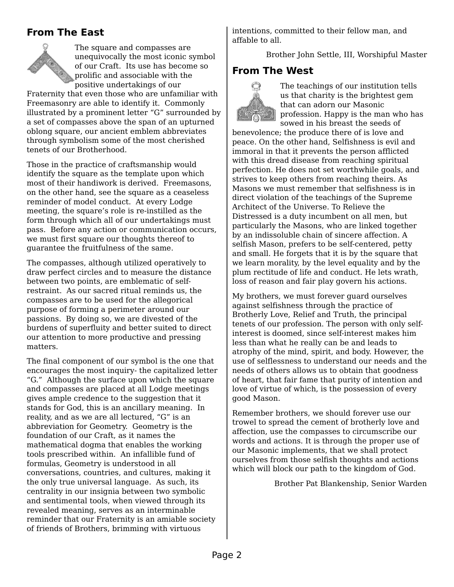## **From The East**



The square and compasses are unequivocally the most iconic symbol of our Craft. Its use has become so prolific and associable with the positive undertakings of our

Fraternity that even those who are unfamiliar with Freemasonry are able to identify it. Commonly illustrated by a prominent letter "G" surrounded by a set of compasses above the span of an upturned oblong square, our ancient emblem abbreviates through symbolism some of the most cherished tenets of our Brotherhood.

Those in the practice of craftsmanship would identify the square as the template upon which most of their handiwork is derived. Freemasons, on the other hand, see the square as a ceaseless reminder of model conduct. At every Lodge meeting, the square's role is re-instilled as the form through which all of our undertakings must pass. Before any action or communication occurs, we must first square our thoughts thereof to guarantee the fruitfulness of the same.

The compasses, although utilized operatively to draw perfect circles and to measure the distance between two points, are emblematic of selfrestraint. As our sacred ritual reminds us, the compasses are to be used for the allegorical purpose of forming a perimeter around our passions. By doing so, we are divested of the burdens of superfluity and better suited to direct our attention to more productive and pressing matters.

The final component of our symbol is the one that encourages the most inquiry- the capitalized letter "G." Although the surface upon which the square and compasses are placed at all Lodge meetings gives ample credence to the suggestion that it stands for God, this is an ancillary meaning. In reality, and as we are all lectured, "G" is an abbreviation for Geometry. Geometry is the foundation of our Craft, as it names the mathematical dogma that enables the working tools prescribed within. An infallible fund of formulas, Geometry is understood in all conversations, countries, and cultures, making it the only true universal language. As such, its centrality in our insignia between two symbolic and sentimental tools, when viewed through its revealed meaning, serves as an interminable reminder that our Fraternity is an amiable society of friends of Brothers, brimming with virtuous

intentions, committed to their fellow man, and affable to all.

Brother John Settle, III, Worshipful Master

## **From The West**



The teachings of our institution tells us that charity is the brightest gem that can adorn our Masonic profession. Happy is the man who has sowed in his breast the seeds of

benevolence; the produce there of is love and peace. On the other hand, Selfishness is evil and immoral in that it prevents the person afflicted with this dread disease from reaching spiritual perfection. He does not set worthwhile goals, and strives to keep others from reaching theirs. As Masons we must remember that selfishness is in direct violation of the teachings of the Supreme Architect of the Universe. To Relieve the Distressed is a duty incumbent on all men, but particularly the Masons, who are linked together by an indissoluble chain of sincere affection. A selfish Mason, prefers to be self-centered, petty and small. He forgets that it is by the square that we learn morality, by the level equality and by the plum rectitude of life and conduct. He lets wrath, loss of reason and fair play govern his actions.

My brothers, we must forever guard ourselves against selfishness through the practice of Brotherly Love, Relief and Truth, the principal tenets of our profession. The person with only selfinterest is doomed, since self-interest makes him less than what he really can be and leads to atrophy of the mind, spirit, and body. However, the use of selflessness to understand our needs and the needs of others allows us to obtain that goodness of heart, that fair fame that purity of intention and love of virtue of which, is the possession of every good Mason.

Remember brothers, we should forever use our trowel to spread the cement of brotherly love and affection, use the compasses to circumscribe our words and actions. It is through the proper use of our Masonic implements, that we shall protect ourselves from those selfish thoughts and actions which will block our path to the kingdom of God.

Brother Pat Blankenship, Senior Warden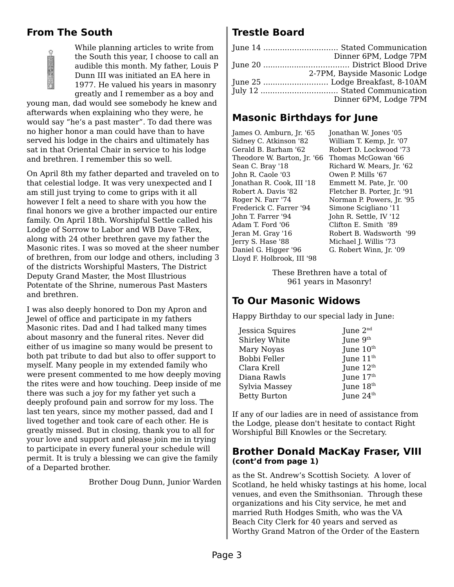## **From The South**



While planning articles to write from the South this year, I choose to call an audible this month. My father, Louis P Dunn III was initiated an EA here in 1977. He valued his years in masonry greatly and I remember as a boy and

young man, dad would see somebody he knew and afterwards when explaining who they were, he would say "he's a past master". To dad there was no higher honor a man could have than to have served his lodge in the chairs and ultimately has sat in that Oriental Chair in service to his lodge and brethren. I remember this so well.

On April 8th my father departed and traveled on to that celestial lodge. It was very unexpected and I am still just trying to come to grips with it all however I felt a need to share with you how the final honors we give a brother impacted our entire family. On April 18th. Worshipful Settle called his Lodge of Sorrow to Labor and WB Dave T-Rex, along with 24 other brethren gave my father the Masonic rites. I was so moved at the sheer number of brethren, from our lodge and others, including 3 of the districts Worshipful Masters, The District Deputy Grand Master, the Most Illustrious Potentate of the Shrine, numerous Past Masters and brethren.

I was also deeply honored to Don my Apron and Jewel of office and participate in my fathers Masonic rites. Dad and I had talked many times about masonry and the funeral rites. Never did either of us imagine so many would be present to both pat tribute to dad but also to offer support to myself. Many people in my extended family who were present commented to me how deeply moving the rites were and how touching. Deep inside of me there was such a joy for my father yet such a deeply profound pain and sorrow for my loss. The last ten years, since my mother passed, dad and I lived together and took care of each other. He is greatly missed. But in closing, thank you to all for your love and support and please join me in trying to participate in every funeral your schedule will permit. It is truly a blessing we can give the family of a Departed brother.

Brother Doug Dunn, Junior Warden

# **Trestle Board**

| Dinner 6PM, Lodge 7PM        |
|------------------------------|
|                              |
| 2-7PM, Bayside Masonic Lodge |
|                              |
|                              |
| Dinner 6PM, Lodge 7PM        |

# **Masonic Birthdays for June**

James O. Amburn, Jr. '65 Sidney C. Atkinson '82 Gerald B. Barham '62 Theodore W. Barton, Jr. '66 Thomas McGowan '66 Sean C. Bray '18 John R. Caole '03 Jonathan R. Cook, III '18 Robert A. Davis '82 Roger N. Farr '74 Frederick C. Farrer '94 John T. Farrer '94 Adam T. Ford '06 Jeran M. Gray '16 Jerry S. Hase '88 Daniel G. Higger '96 Lloyd F. Holbrook, III '98

Jonathan W. Jones '05 William T. Kemp, Jr. '07 Robert D. Lockwood '73 Richard W. Mears, Jr. '62 Owen P. Mills '67 Emmett M. Pate, Jr. '00 Fletcher B. Porter, Jr. '91 Norman P. Powers, Jr. '95 Simone Scigliano '11 John R. Settle, IV '12 Clifton E. Smith '89 Robert B. Wadsworth '99 Michael J. Willis '73 G. Robert Winn, Jr. '09

These Brethren have a total of 961 years in Masonry!

# **To Our Masonic Widows**

Happy Birthday to our special lady in June:

| June $2nd$<br>June 9th<br>June 10 <sup>th</sup><br>June $11^{\text{th}}$<br>June 12 <sup>th</sup><br>June 17th<br>June 18th<br>June 24 <sup>th</sup> |
|------------------------------------------------------------------------------------------------------------------------------------------------------|

If any of our ladies are in need of assistance from the Lodge, please don't hesitate to contact Right Worshipful Bill Knowles or the Secretary.

#### **Brother Donald MacKay Fraser, VIII (cont'd from page 1)**

as the St. Andrew's Scottish Society. A lover of Scotland, he held whisky tastings at his home, local venues, and even the Smithsonian. Through these organizations and his City service, he met and married Ruth Hodges Smith, who was the VA Beach City Clerk for 40 years and served as Worthy Grand Matron of the Order of the Eastern